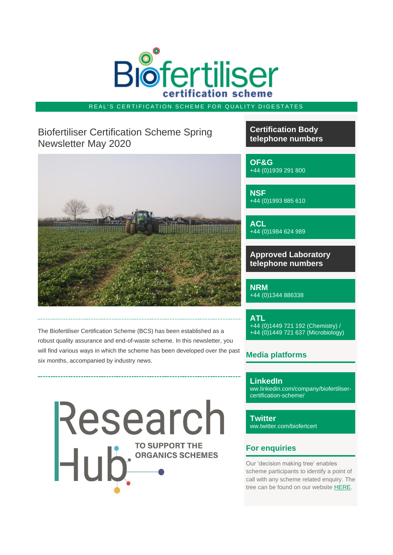

### REAL'S CERTIFICATION SCHEME FOR QUALITY DIGESTATES

# Biofertiliser Certification Scheme Spring Newsletter May 2020



The Biofertiliser Certification Scheme (BCS) has been established as a robust quality assurance and end-of-waste scheme. In this newsletter, you will find various ways in which the scheme has been developed over the past six months, accompanied by industry news.

Research

**Certification Body telephone numbers**

**OF&G** +44 (0)1939 291 800

**NSF** +44 (0)1993 885 610

**ACL** +44 (0)1984 624 989

**Approved Laboratory telephone numbers**

**NRM** +44 (0)1344 886338

**ATL** +44 (0)1449 721 192 (Chemistry) / +44 (0)1449 721 637 (Microbiology)

# **Media platforms**

**LinkedIn** ww.linkedin.com/company/biofertilisercertification-scheme/

**Twitter** ww.twitter.com/biofertcert

# **For enquiries**

Our 'decision making tree' enables scheme participants to identify a point of call with any scheme related enquiry. The tree can be found on our website [HERE.](https://email.sav.co.uk/t/r-l-jhlhkdjk-owhipkhi-h/)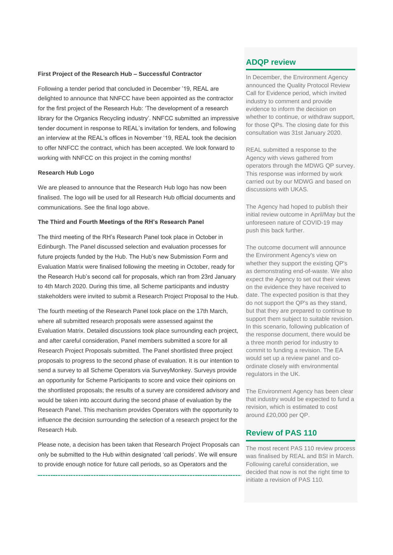#### **First Project of the Research Hub – Successful Contractor**

Following a tender period that concluded in December '19, REAL are delighted to announce that NNFCC have been appointed as the contractor for the first project of the Research Hub: 'The development of a research library for the Organics Recycling industry'. NNFCC submitted an impressive tender document in response to REAL's invitation for tenders, and following an interview at the REAL's offices in November '19, REAL took the decision to offer NNFCC the contract, which has been accepted. We look forward to working with NNFCC on this project in the coming months!

#### **Research Hub Logo**

We are pleased to announce that the Research Hub logo has now been finalised. The logo will be used for all Research Hub official documents and communications. See the final logo above.

#### **The Third and Fourth Meetings of the RH's Research Panel**

The third meeting of the RH's Research Panel took place in October in Edinburgh. The Panel discussed selection and evaluation processes for future projects funded by the Hub. The Hub's new Submission Form and Evaluation Matrix were finalised following the meeting in October, ready for the Research Hub's second call for proposals, which ran from 23rd January to 4th March 2020. During this time, all Scheme participants and industry stakeholders were invited to submit a Research Project Proposal to the Hub.

The fourth meeting of the Research Panel took place on the 17th March, where all submitted research proposals were assessed against the Evaluation Matrix. Detailed discussions took place surrounding each project, and after careful consideration, Panel members submitted a score for all Research Project Proposals submitted. The Panel shortlisted three project proposals to progress to the second phase of evaluation. It is our intention to send a survey to all Scheme Operators via SurveyMonkey. Surveys provide an opportunity for Scheme Participants to score and voice their opinions on the shortlisted proposals; the results of a survey are considered advisory and would be taken into account during the second phase of evaluation by the Research Panel. This mechanism provides Operators with the opportunity to influence the decision surrounding the selection of a research project for the Research Hub.

Please note, a decision has been taken that Research Project Proposals can only be submitted to the Hub within designated 'call periods'. We will ensure to provide enough notice for future call periods, so as Operators and the

# **ADQP review**

In December, the Environment Agency announced the Quality Protocol Review Call for Evidence period, which invited industry to comment and provide evidence to inform the decision on whether to continue, or withdraw support, for those QPs. The closing date for this consultation was 31st January 2020.

REAL submitted a response to the Agency with views gathered from operators through the MDWG QP survey. This response was informed by work carried out by our MDWG and based on discussions with UKAS.

The Agency had hoped to publish their initial review outcome in April/May but the unforeseen nature of COVID-19 may push this back further.

The outcome document will announce the Environment Agency's view on whether they support the existing QP's as demonstrating end-of-waste. We also expect the Agency to set out their views on the evidence they have received to date. The expected position is that they do not support the QP's as they stand, but that they are prepared to continue to support them subject to suitable revision. In this scenario, following publication of the response document, there would be a three month period for industry to commit to funding a revision. The EA would set up a review panel and coordinate closely with environmental regulators in the UK.

The Environment Agency has been clear that industry would be expected to fund a revision, which is estimated to cost around £20,000 per QP.

### **Review of PAS 110**

The most recent PAS 110 review process was finalised by REAL and BSI in March. Following careful consideration, we decided that now is not the right time to initiate a revision of PAS 110.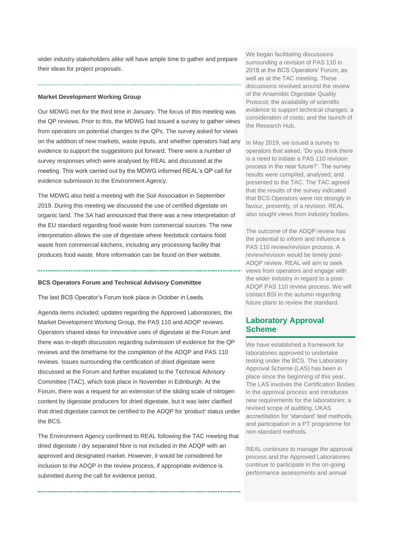wider industry stakeholders alike will have ample time to gather and prepare their ideas for project proposals.

#### **Market Development Working Group**

Our MDWG met for the third time in January. The focus of this meeting was the QP reviews. Prior to this, the MDWG had issued a survey to gather views from operators on potential changes to the QPs. The survey asked for views on the addition of new markets, waste inputs, and whether operators had any evidence to support the suggestions put forward. There were a number of survey responses which were analysed by REAL and discussed at the meeting. This work carried out by the MDWG informed REAL's QP call for evidence submission to the Environment Agency.

The MDWG also held a meeting with the Soil Association in September 2019. During this meeting we discussed the use of certified digestate on organic land. The SA had announced that there was a new interpretation of the EU standard regarding food waste from commercial sources. The new interpretation allows the use of digestate where feedstock contains food waste from commercial kitchens, including any processing facility that produces food waste. More information can be found on their website.

#### **BCS Operators Forum and Technical Advisory Committee**

The last BCS Operator's Forum took place in October in Leeds.

Agenda items included; updates regarding the Approved Laboratories, the Market Development Working Group, the PAS 110 and ADQP reviews. Operators shared ideas for innovative uses of digestate at the Forum and there was in-depth discussion regarding submission of evidence for the QP reviews and the timeframe for the completion of the ADQP and PAS 110 reviews. Issues surrounding the certification of dried digestate were discussed at the Forum and further escalated to the Technical Advisory Committee (TAC), which took place in November in Edinburgh. At the Forum, there was a request for an extension of the sliding scale of nitrogen content by digestate producers for dried digestate, but it was later clarified that dried digestate cannot be certified to the ADQP for 'product' status under the BCS.

The Environment Agency confirmed to REAL following the TAC meeting that dried digestate / dry separated fibre is not included in the ADQP with an approved and designated market. However, it would be considered for inclusion to the ADQP in the review process, if appropriate evidence is submitted during the call for evidence period.

We began facilitating discussions surrounding a revision of PAS 110 in 2018 at the BCS Operators' Forum, as well as at the TAC meeting. These discussions revolved around the review of the Anaerobic Digestate Quality Protocol; the availability of scientific evidence to support technical changes; a consideration of costs; and the launch of the Research Hub.

In May 2019, we issued a survey to operators that asked, 'Do you think there is a need to initiate a PAS 110 revision process in the near future?'. The survey results were compiled, analysed, and presented to the TAC. The TAC agreed that the results of the survey indicated that BCS Operators were not strongly in favour, presently, of a revision. REAL also sought views from industry bodies.

The outcome of the ADQP review has the potential to inform and influence a PAS 110 review/revision process. A review/revision would be timely post-ADQP review. REAL will aim to seek views from operators and engage with the wider industry in regard to a post-ADQP PAS 110 review process. We will contact BSI in the autumn regarding future plans to review the standard.

# **Laboratory Approval Scheme**

We have established a framework for laboratories approved to undertake testing under the BCS. The Laboratory Approval Scheme (LAS) has been in place since the beginning of this year. The LAS involves the Certification Bodies in the approval process and introduces new requirements for the laboratories; a revised scope of auditing, UKAS accreditation for 'standard' test methods, and participation in a PT programme for non-standard methods.

REAL continues to manage the approval process and the Approved Laboratories continue to participate in the on-going performance assessments and annual